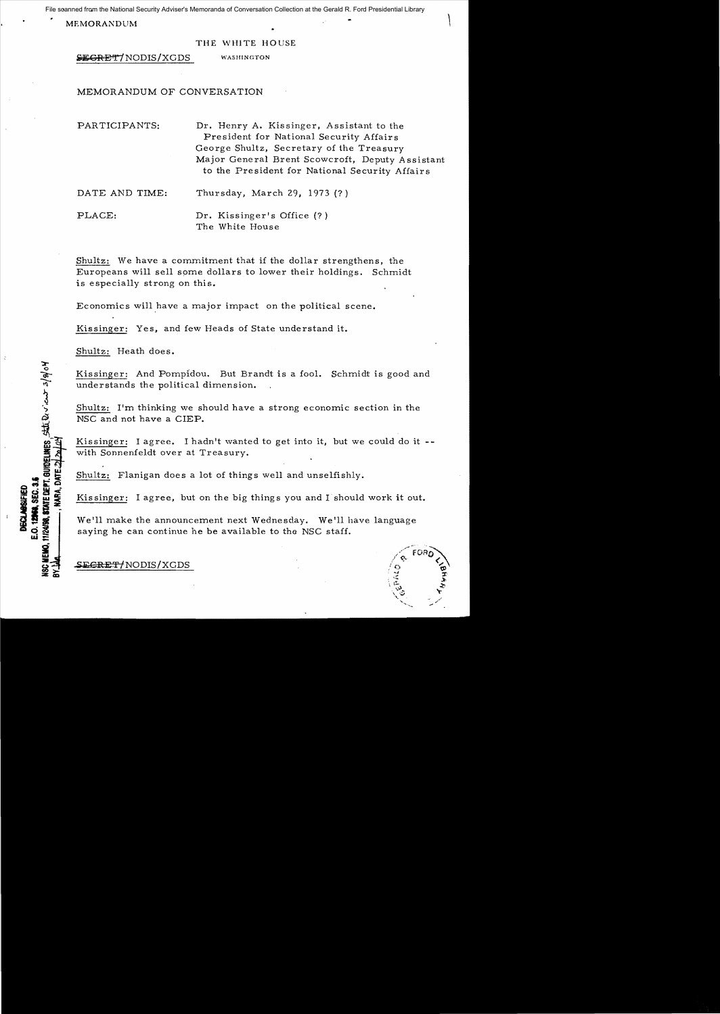anned from the National Security Adviser's Memoranda of Conversation Collection at the Gerald R. Ford Presidential Library<br>MEMORANDUM File scanned from the National Security Adviser's Memoranda of Conversation Collection at the Gerald R. Ford Presidential Library

#### THE WHITE HOUSE

**SEGRET/NODIS/XGDS** WASHINGTON

# MEMORANDUM OF CONVERSATION

PARTICIPANTS: Dr. Henry A. Kissinger, Assistant to the President for National Security Affairs George Shultz, Secretary of the Treasury Major General Brent Scowcroft, Deputy Assistant to the President for National Security Affairs

DATE AND TIME: Thursday, March 29, 1973 (?)

PLACE: Dr. Kissinger's Office (?) The White House

Shultz: We have a commitment that if the dollar strengthens, the Europeans will sell spme dollars to lower their holdings. Schmidt is especially strong on this.

Economics will have a major impact on the political scene.

Kissinger: Yes, and few Heads of State understand it.

Shultz: Heath does.

11/24/98, STATE DEPT. GUIDELINES STILL DON' CONT 3/8/04

12968, SEC. 3.

Kissinger: And Pompldou. But Brandt is a fool. Schmidt is good and understands the political dimension.

Shultz: 1'm thinking we should have a strong economic section in the NSC and not have a CIEP.

Kissinger: I agree. I hadn't wanted to get into it, but we could do it -with Sonnenfeldt over at Treasury.

Shultz: Flanigan does a lot of things well and unselfishly.

Kissinger: I agree, but on the big things you and I should work it out.

We'll make the announcement next Wednesday. We'll have language saying he can continue he be available to tha NSC staff.

SE<del>CRET/</del>NODIS/XGDS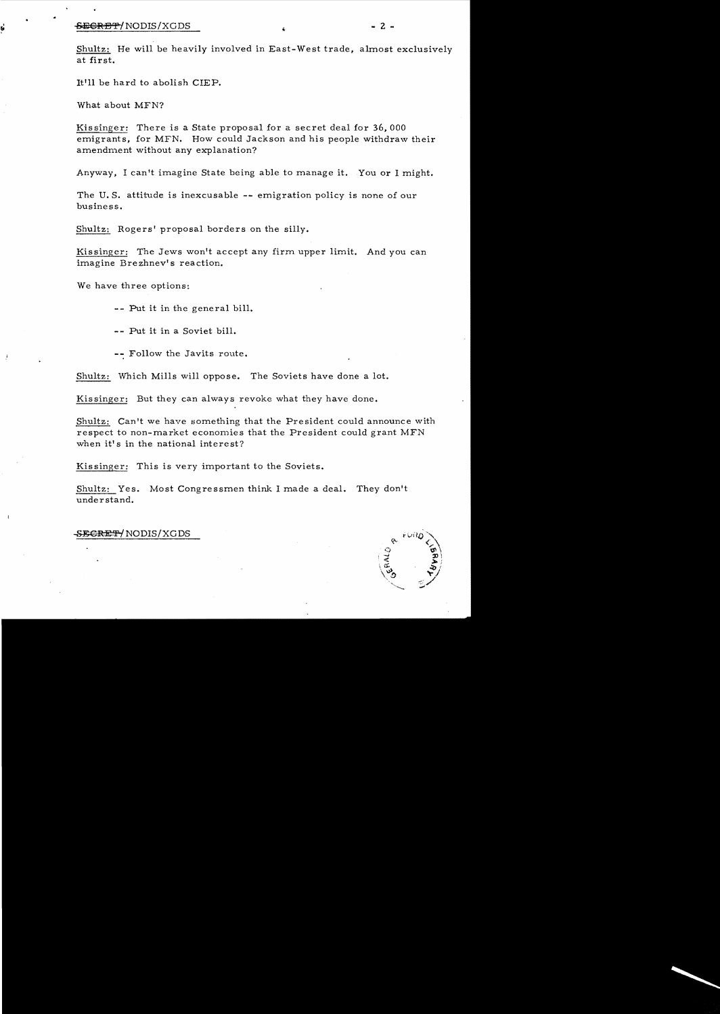#### $\overline{\text{SEERB}}$   $\overline{\text{F}}$   $\overline{\text{NODIS}}$   $\overline{\text{XGDS}}$   $\overline{\text{S}}$   $\overline{\text{F}}$   $\overline{\text{S}}$   $\overline{\text{F}}$   $\overline{\text{F}}$   $\overline{\text{S}}$   $\overline{\text{F}}$   $\overline{\text{S}}$   $\overline{\text{F}}$   $\overline{\text{F}}$   $\overline{\text{S}}$   $\overline{\text{S}}$   $\overline{\text{S}}$   $\overline{\text{S}}$   $\overline{\text{S}}$   $\overline{\text$

Shultz: He will be heavily involved in East-West trade, almost exclusively at first.

It'll be hard to abolish ClEP.

What about MFN?

Kissinger: There is a State proposal for a secret deal for 36, 000 emigrants, for MFN. How could Jackson and his people withdraw their amendment without any explanation?

Anyway, I can't imagine State being able to manage it. You or I might.

The U. S. attitude is inexcusable -- emigration policy is none of our business.

Shultz: Rogers' proposal borders on the silly.

Kissinger: The Jews won't accept any firm upper limit. And you can imagine Brezhnev's reaction.

We have three options:

-- Put it in the general bill.

Put it in a Soviet bill.

-- Follow the Javits route.

Shultz: Which Mills will oppose. The Soviets have done a lot.

Kissinger: But they can always revoke what they have done.

Shultz: Can't we have something that the President could announce with respect to non-market economjes that the President could grant MFN when it's in the national interest?

Kissinger: This is very important to the Soviets.

Shultz: Yes. Most Congressmen think I made a deal. They don't unde r stand.

## -SE<del>CRETY</del> NODIS/XGDS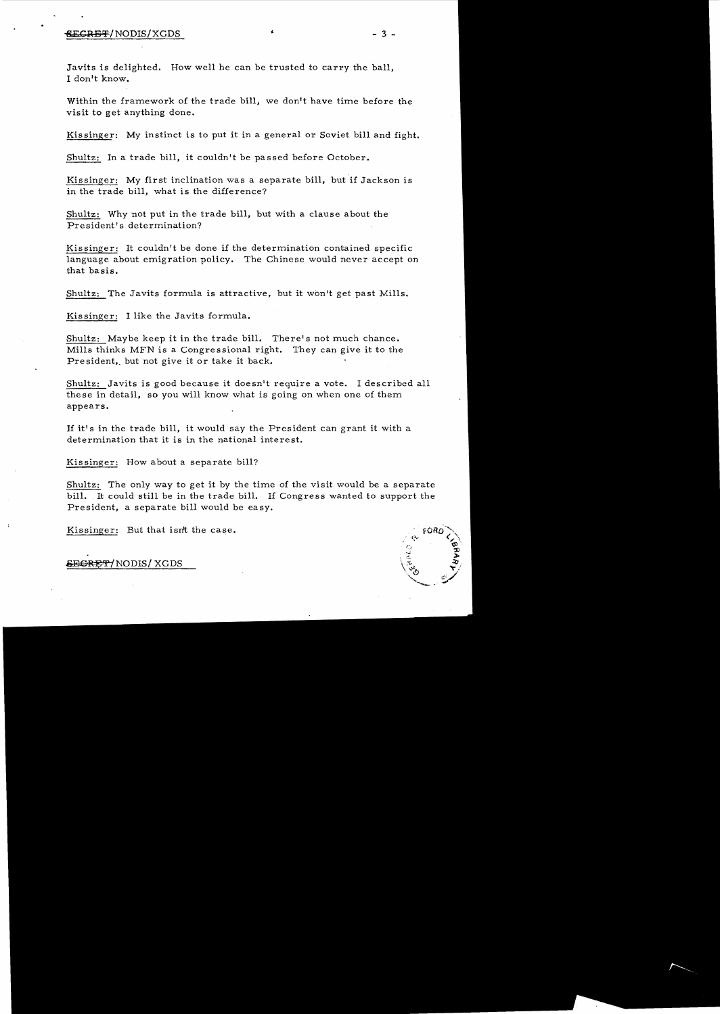### $\overline{\text{SEGRBF}}$ /NODIS/XGDS  $^+$   $^-$  3 -

Javits is delighted. How well he can be trusted to carry the ball, I don't know.

Within the framework of the trade bill, we don't have time before the visit to get anything done.

Kissinger: My instinct is to put it in a general or Soviet bill and fight.

Shultz: In a trade bill, it couldn't be passed before October.

Kissinger: My first inclination was a separate bill, but if Jackson is in the trade bill, what is the difference?

Shultz: Why not put in the trade bill, but with a clause about the President's determination?

Kissinger: It couldn't be done if the determination contained specific language about emigration policy. The Chinese would never accept on that basis.

Shultz: The Javits formula is attractive, but it won't get past Mills.

Kissinger: I like the Javits formula.

Shultz: Maybe keep it in the trade bill. There's not much chance. Mills thinks MFN is a Congressional right. They can give it to the President, but not give it or take it back.

Shultz: Javits is good because it doesn't require a vote. I described all these in detail, so you will know what is going on when one of them appears.

If it's in the trade bill, it would say the President can grant it with a determination that it is in the national interest.

Kissinger: How about a separate bill?

Shultz: The only way to get it by the time of the visit would be a separate bill. It could still be in the trade bill. If Congress wanted to support the President, a separate bill would be easy.

Kissinger: But that isn't the case.

&E<del>CRET</del>/NODIS/XGDS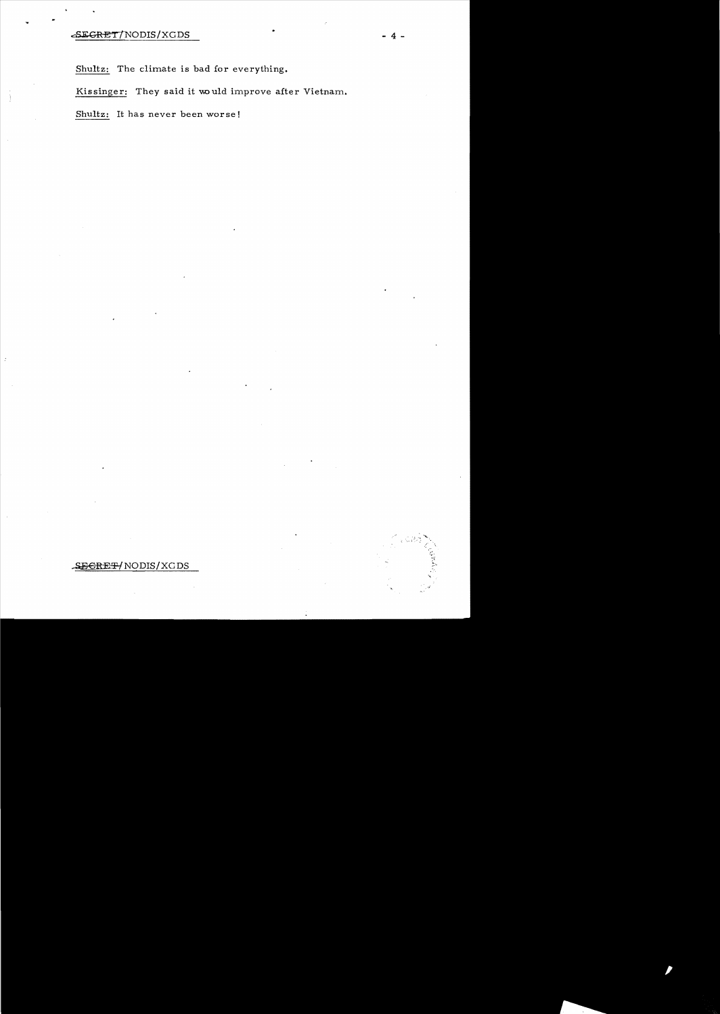Shultz: The climate is bad for everything.

Kissinger: They said it would improve after Vietnam.

Shultz: It has never been worse!

# SECRET/NODIS/XGDS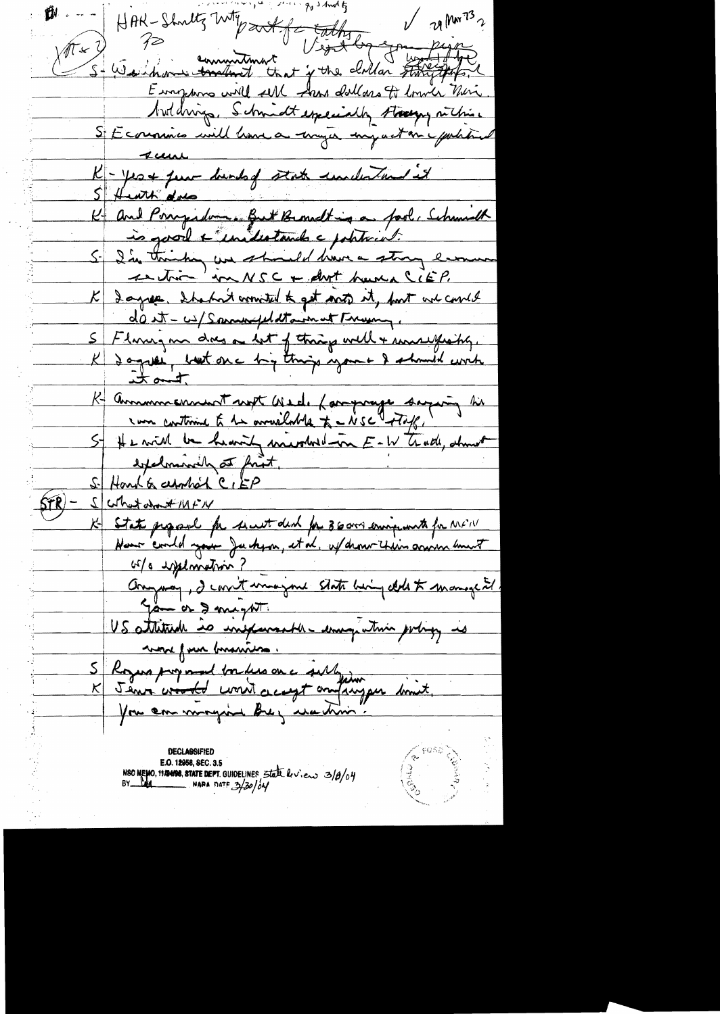$9$  s and  $5$ HAR-Shoultz With sort of Eathy V 20 MM 73  $\nu$  21 MM 73 2  $\sqrt{N}$  +  $\sqrt{V}$ Europhone will sell from dollars to lower their butchings, Schmidteppecially streety richies SE commis will have a myer my act on pactitud  $4$ K - yest fun dunks state undertand it K and Porrepadement Bett Bernardt ing a faol, Schumb is good & inclustants a political. Si I'm thinking we should have a strong lan <u>section 'm NSC + drot humalit P.</u> K I agree, I had not connected to get anot it, fort we comed dont-w/spannfeldtament Fragen, 5 Floring m dres a let of things well + somewhatig. K Communement supt Wed, Language sagery hi 5- He will be heavily mivales in E-W trade, about expelminally at fruit. S. Hank & apphon CIEP VitNitation 21 K State proposal for sout deal for 36000 emigrants for MFIN or/a explomation? Anyway, I consit unagene state being delet monage it US attitude is inexperiently enough this poly is mon from business. S Royers proposed boules on a sublyingum dinit.

E.O. 12058, SEC. 3.5<br>NSC MEMO, 11224108, STATE DEPT. GUIDELINES State by Co. 3/8/04<br>BY LAG MARA DATE 3/30/04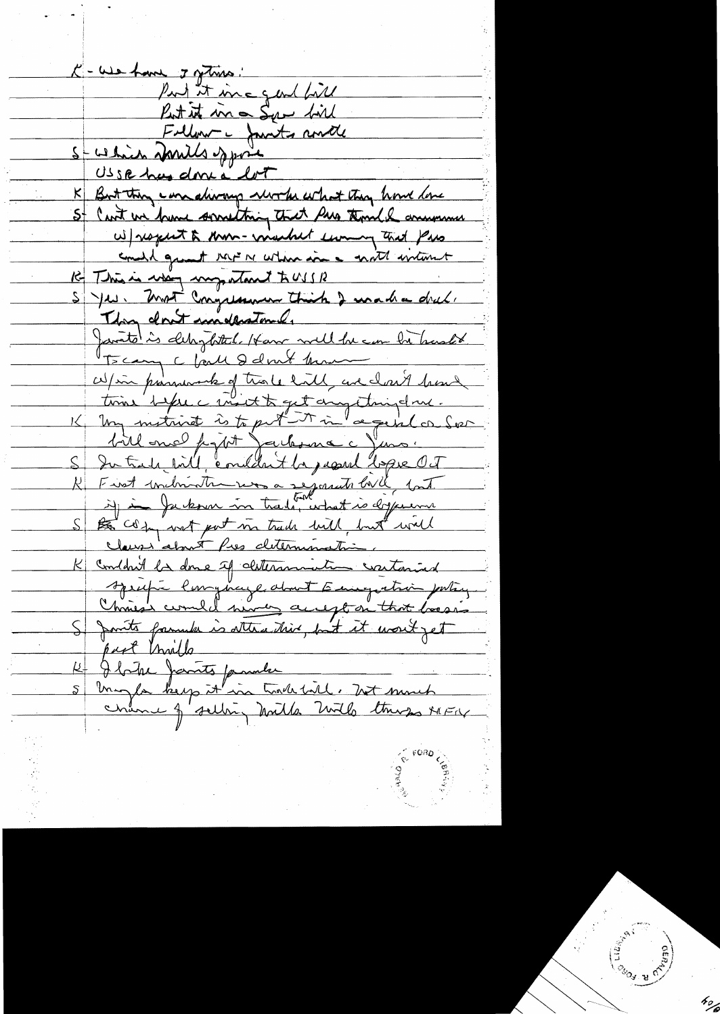C-We have I getime! Put it inc gent fill Put it in Ser fil<br>Follow - Jants and 5-welin Donils spore USSR has done a lot But they can diving work what they have love St Can't we have something that has thought anyone w) respect to know- window the town that pass could great rave ne which is a moth interest Re This is when my stant to USB S Je Nort Congression Thick I want a dret. They don't implement Janto is delighted. Have well be can be harded Bcany c faith delvert man W/in promocule of trace hill, are closed been bill one papit Jackson c Juns. S Intradictivit, condition the japanel before Oct R First individuale vos a segonants bill int S to composit put in trade will but well clause about Pres determination. K Condait la donc if determination contained Azupi longuage about Emigration porting Chris's comment never accept on that boosis S Jants family is attending but it won't get part trails Ibite James parader<br>Inight keep it in trade till, het surch<br>Chance of selling holds livels there severe